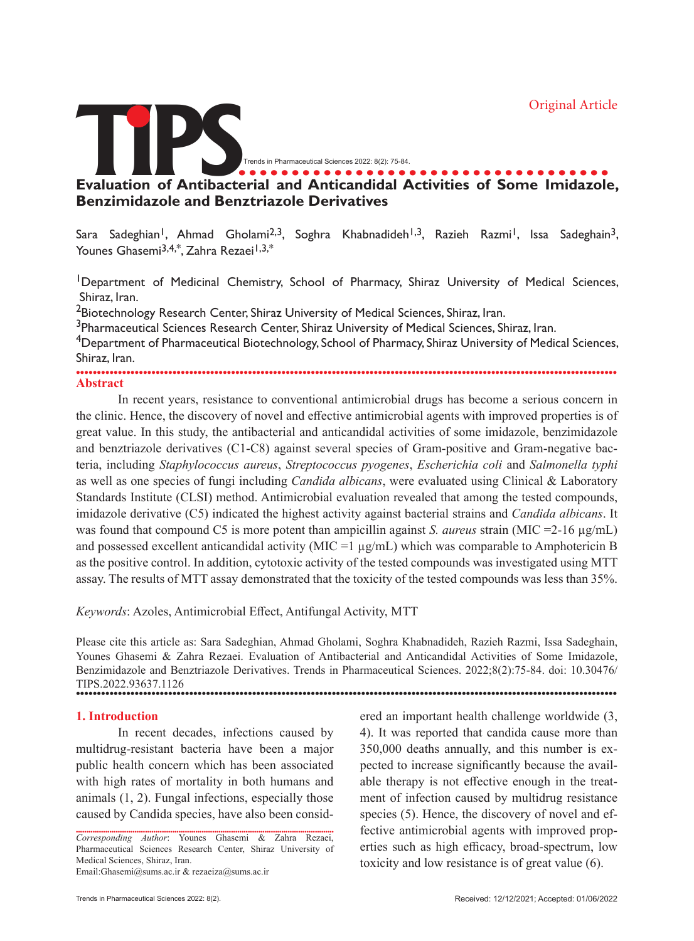# **TIPS................................... Evaluation of Antibacterial and Anticandidal Activities of Some Imidazole, Benzimidazole and Benztriazole Derivatives**  Trends in Pharmaceutical Sciences 2022: 8(2): 75-84.

Sara Sadeghian<sup>1</sup>, Ahmad Gholami<sup>2,3</sup>, Soghra Khabnadideh<sup>1,3</sup>, Razieh Razmi<sup>1</sup>, Issa Sadeghain<sup>3</sup>, Younes Ghasemi<sup>3,4,\*</sup>, Zahra Rezaei<sup>1,3,\*</sup>

1Department of Medicinal Chemistry, School of Pharmacy, Shiraz University of Medical Sciences, Shiraz, Iran.

<sup>2</sup>Biotechnology Research Center, Shiraz University of Medical Sciences, Shiraz, Iran.

<sup>3</sup>Pharmaceutical Sciences Research Center, Shiraz University of Medical Sciences, Shiraz, Iran.

<sup>4</sup>Department of Pharmaceutical Biotechnology, School of Pharmacy, Shiraz University of Medical Sciences, Shiraz, Iran.

# ................................................................................................................................. **Abstract**

In recent years, resistance to conventional antimicrobial drugs has become a serious concern in the clinic. Hence, the discovery of novel and effective antimicrobial agents with improved properties is of great value. In this study, the antibacterial and anticandidal activities of some imidazole, benzimidazole and benztriazole derivatives (C1-C8) against several species of Gram-positive and Gram-negative bacteria, including *Staphylococcus aureus*, *Streptococcus pyogenes*, *Escherichia coli* and *Salmonella typhi*  as well as one species of fungi including *Candida albicans*, were evaluated using Clinical & Laboratory Standards Institute (CLSI) method. Antimicrobial evaluation revealed that among the tested compounds, imidazole derivative (C5) indicated the highest activity against bacterial strains and *Candida albicans*. It was found that compound C5 is more potent than ampicillin against *S. aureus* strain (MIC =2-16 µg/mL) and possessed excellent anticandidal activity (MIC =1  $\mu$ g/mL) which was comparable to Amphotericin B as the positive control. In addition, cytotoxic activity of the tested compounds was investigated using MTT assay. The results of MTT assay demonstrated that the toxicity of the tested compounds was less than 35%.

*Keywords*: Azoles, Antimicrobial Effect, Antifungal Activity, MTT

Please cite this article as: Sara Sadeghian, Ahmad Gholami, Soghra Khabnadideh, Razieh Razmi, Issa Sadeghain, Younes Ghasemi & Zahra Rezaei. Evaluation of Antibacterial and Anticandidal Activities of Some Imidazole, Benzimidazole and Benztriazole Derivatives. Trends in Pharmaceutical Sciences. 2022;8(2):75-84. doi: 10.30476/ TIPS.2022.93637.1126 .................................................................................................................................

#### **1. Introduction**

In recent decades, infections caused by multidrug-resistant bacteria have been a major public health concern which has been associated with high rates of mortality in both humans and animals (1, 2). Fungal infections, especially those caused by Candida species, have also been consid-

........................................................................................................................... *Corresponding Author*: Younes Ghasemi & Zahra Rezaei, Pharmaceutical Sciences Research Center, Shiraz University of Medical Sciences, Shiraz, Iran. Email:Ghasemi@sums.ac.ir & rezaeiza@sums.ac.ir

ered an important health challenge worldwide (3, 4). It was reported that candida cause more than 350,000 deaths annually, and this number is expected to increase significantly because the available therapy is not effective enough in the treatment of infection caused by multidrug resistance species (5). Hence, the discovery of novel and effective antimicrobial agents with improved properties such as high efficacy, broad-spectrum, low toxicity and low resistance is of great value (6).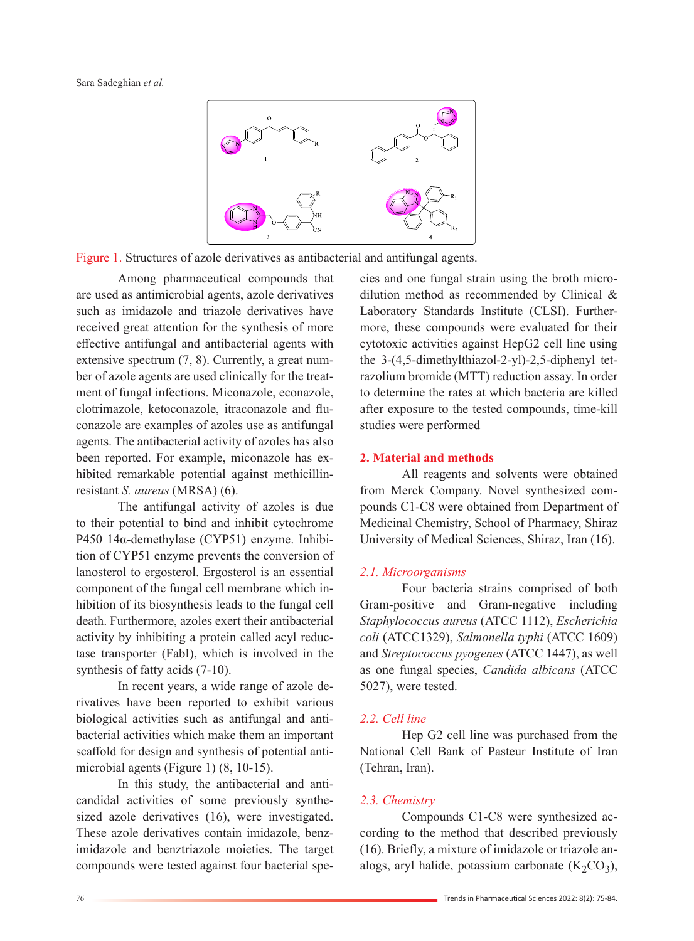

Figure 1. Structures of azole derivatives as antibacterial and antifungal agents.

Among pharmaceutical compounds that are used as antimicrobial agents, azole derivatives such as imidazole and triazole derivatives have received great attention for the synthesis of more effective antifungal and antibacterial agents with extensive spectrum (7, 8). Currently, a great number of azole agents are used clinically for the treatment of fungal infections. Miconazole, econazole, clotrimazole, ketoconazole, itraconazole and fluconazole are examples of azoles use as antifungal agents. The antibacterial activity of azoles has also been reported. For example, miconazole has exhibited remarkable potential against methicillinresistant *S. aureus* (MRSA) (6).

The antifungal activity of azoles is due to their potential to bind and inhibit cytochrome P450 14α-demethylase (CYP51) enzyme. Inhibition of CYP51 enzyme prevents the conversion of lanosterol to ergosterol. Ergosterol is an essential component of the fungal cell membrane which inhibition of its biosynthesis leads to the fungal cell death. Furthermore, azoles exert their antibacterial activity by inhibiting a protein called acyl reductase transporter (FabI), which is involved in the synthesis of fatty acids (7-10).

In recent years, a wide range of azole derivatives have been reported to exhibit various biological activities such as antifungal and antibacterial activities which make them an important scaffold for design and synthesis of potential antimicrobial agents (Figure 1) (8, 10-15).

In this study, the antibacterial and anticandidal activities of some previously synthesized azole derivatives (16), were investigated. These azole derivatives contain imidazole, benzimidazole and benztriazole moieties. The target compounds were tested against four bacterial species and one fungal strain using the broth microdilution method as recommended by Clinical & Laboratory Standards Institute (CLSI). Furthermore, these compounds were evaluated for their cytotoxic activities against HepG2 cell line using the 3-(4,5-dimethylthiazol-2-yl)-2,5-diphenyl tetrazolium bromide (MTT) reduction assay. In order to determine the rates at which bacteria are killed after exposure to the tested compounds, time-kill studies were performed

# **2. Material and methods**

All reagents and solvents were obtained from Merck Company. Novel synthesized compounds C1-C8 were obtained from Department of Medicinal Chemistry, School of Pharmacy, Shiraz University of Medical Sciences, Shiraz, Iran (16).

# *2.1. Microorganisms*

Four bacteria strains comprised of both Gram-positive and Gram-negative including *Staphylococcus aureus* (ATCC 1112), *Escherichia coli* (ATCC1329), *Salmonella typhi* (ATCC 1609) and *Streptococcus pyogenes* (ATCC 1447), as well as one fungal species, *Candida albicans* (ATCC 5027), were tested.

# *2.2. Cell line*

Hep G2 cell line was purchased from the National Cell Bank of Pasteur Institute of Iran (Tehran, Iran).

# *2.3. Chemistry*

Compounds C1-C8 were synthesized according to the method that described previously (16). Briefly, a mixture of imidazole or triazole analogs, aryl halide, potassium carbonate  $(K_2CO_3)$ ,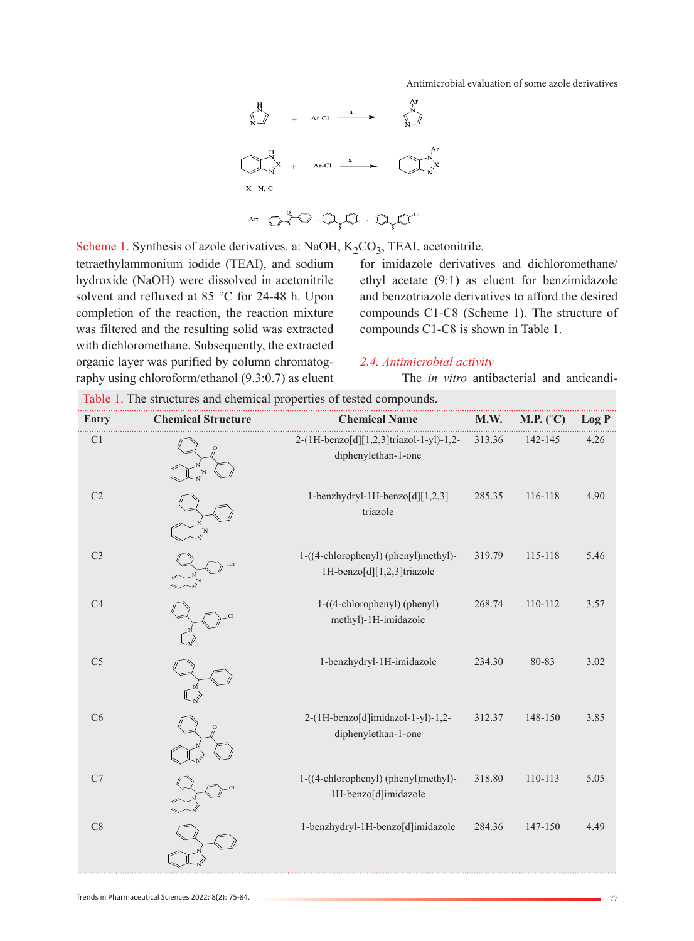Antimicrobial evaluation of some azole derivatives



Scheme 1. Synthesis of azole derivatives. a: NaOH,  $K_2CO_3$ , TEAI, acetonitrile.

Table 1. The structures and chemical properties of tested compounds.

tetraethylammonium iodide (TEAI), and sodium hydroxide (NaOH) were dissolved in acetonitrile solvent and refluxed at 85 °C for 24-48 h. Upon completion of the reaction, the reaction mixture was filtered and the resulting solid was extracted with dichloromethane. Subsequently, the extracted organic layer was purified by column chromatography using chloroform/ethanol (9.3:0.7) as eluent

for imidazole derivatives and dichloromethane/ ethyl acetate (9:1) as eluent for benzimidazole and benzotriazole derivatives to afford the desired compounds C1-C8 (Scheme 1). The structure of compounds C1-C8 is shown in Table 1.

#### *2.4. Antimicrobial activity*

The *in vitro* antibacterial and anticandi-

| Entry          | <b>Chemical Structure</b> | <b>Chemical Name</b>                                               | <b>M.W.</b> | M.P. $(^{\circ}C)$ | Log P |
|----------------|---------------------------|--------------------------------------------------------------------|-------------|--------------------|-------|
| C <sub>1</sub> |                           | 2-(1H-benzo[d][1,2,3]triazol-1-yl)-1,2-<br>diphenylethan-1-one     | 313.36      | 142-145            | 4.26  |
| C <sub>2</sub> |                           | 1-benzhydryl-1H-benzo[d][1,2,3]<br>triazole                        | 285.35      | 116-118            | 4.90  |
| C <sub>3</sub> |                           | 1-((4-chlorophenyl) (phenyl)methyl)-<br>1H-benzo[d][1,2,3]triazole | 319.79      | 115-118            | 5.46  |
| C4             |                           | 1-((4-chlorophenyl) (phenyl)<br>methyl)-1H-imidazole               | 268.74      | 110-112            | 3.57  |
| C <sub>5</sub> |                           | 1-benzhydryl-1H-imidazole                                          | 234.30      | 80-83              | 3.02  |
| C6             |                           | 2-(1H-benzo[d]imidazol-1-yl)-1,2-<br>diphenylethan-1-one           | 312.37      | 148-150            | 3.85  |
| C7             |                           | 1-((4-chlorophenyl) (phenyl)methyl)-<br>1H-benzo[d]imidazole       | 318.80      | 110-113            | 5.05  |
| C8             |                           | 1-benzhydryl-1H-benzo[d]imidazole                                  | 284.36      | 147-150            | 4.49  |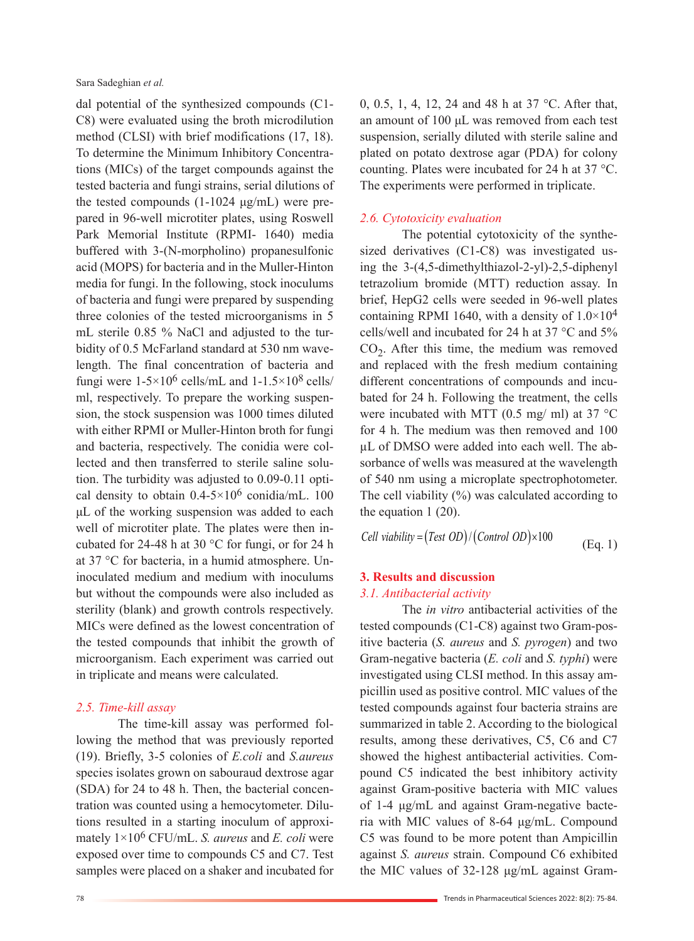Sara Sadeghian *et al.*

dal potential of the synthesized compounds (C1- C8) were evaluated using the broth microdilution method (CLSI) with brief modifications (17, 18). To determine the Minimum Inhibitory Concentrations (MICs) of the target compounds against the tested bacteria and fungi strains, serial dilutions of the tested compounds (1-1024 μg/mL) were prepared in 96-well microtiter plates, using Roswell Park Memorial Institute (RPMI- 1640) media buffered with 3-(N-morpholino) propanesulfonic acid (MOPS) for bacteria and in the Muller-Hinton media for fungi. In the following, stock inoculums of bacteria and fungi were prepared by suspending three colonies of the tested microorganisms in 5 mL sterile 0.85 % NaCl and adjusted to the turbidity of 0.5 McFarland standard at 530 nm wavelength. The final concentration of bacteria and fungi were  $1-5\times10^6$  cells/mL and  $1-1.5\times10^8$  cells/ ml, respectively. To prepare the working suspension, the stock suspension was 1000 times diluted with either RPMI or Muller-Hinton broth for fungi and bacteria, respectively. The conidia were collected and then transferred to sterile saline solution. The turbidity was adjusted to 0.09-0.11 optical density to obtain  $0.4-5 \times 10^6$  conidia/mL. 100 μL of the working suspension was added to each well of microtiter plate. The plates were then incubated for 24-48 h at 30 °C for fungi, or for 24 h at 37 °C for bacteria, in a humid atmosphere. Uninoculated medium and medium with inoculums but without the compounds were also included as sterility (blank) and growth controls respectively. MICs were defined as the lowest concentration of the tested compounds that inhibit the growth of microorganism. Each experiment was carried out in triplicate and means were calculated.

# *2.5. Time-kill assay*

The time-kill assay was performed following the method that was previously reported (19). Briefly, 3-5 colonies of *E.coli* and *S.aureus*  species isolates grown on sabouraud dextrose agar (SDA) for 24 to 48 h. Then, the bacterial concentration was counted using a hemocytometer. Dilutions resulted in a starting inoculum of approximately 1×106 CFU/mL. *S. aureus* and *E. coli* were exposed over time to compounds C5 and C7. Test samples were placed on a shaker and incubated for 0, 0.5, 1, 4, 12, 24 and 48 h at 37 °C. After that, an amount of 100 μL was removed from each test suspension, serially diluted with sterile saline and plated on potato dextrose agar (PDA) for colony counting. Plates were incubated for 24 h at 37 °C. The experiments were performed in triplicate.

#### *2.6. Cytotoxicity evaluation*

The potential cytotoxicity of the synthesized derivatives (C1-C8) was investigated using the 3-(4,5-dimethylthiazol-2-yl)-2,5-diphenyl tetrazolium bromide (MTT) reduction assay. In brief, HepG2 cells were seeded in 96-well plates containing RPMI 1640, with a density of  $1.0\times10^4$ cells/well and incubated for 24 h at 37 °C and 5%  $CO<sub>2</sub>$ . After this time, the medium was removed and replaced with the fresh medium containing different concentrations of compounds and incubated for 24 h. Following the treatment, the cells were incubated with MTT  $(0.5 \text{ mg/m})$  at 37 °C for 4 h. The medium was then removed and 100 µL of DMSO were added into each well. The absorbance of wells was measured at the wavelength of 540 nm using a microplate spectrophotometer. The cell viability (%) was calculated according to the equation 1 (20).

Cell viability = 
$$
(Test \, OD) / (Control \, OD) \times 100
$$
 (Eq. 1)

### **3. Results and discussion** *3.1. Antibacterial activity*

The *in vitro* antibacterial activities of the tested compounds (C1-C8) against two Gram-positive bacteria (*S. aureus* and *S. pyrogen*) and two Gram-negative bacteria (*E. coli* and *S. typhi*) were investigated using CLSI method. In this assay ampicillin used as positive control. MIC values of the tested compounds against four bacteria strains are summarized in table 2. According to the biological results, among these derivatives, C5, C6 and C7 showed the highest antibacterial activities. Compound C5 indicated the best inhibitory activity against Gram-positive bacteria with MIC values of 1-4 μg/mL and against Gram-negative bacteria with MIC values of 8-64 μg/mL. Compound C5 was found to be more potent than Ampicillin against *S. aureus* strain. Compound C6 exhibited the MIC values of 32-128 μg/mL against Gram-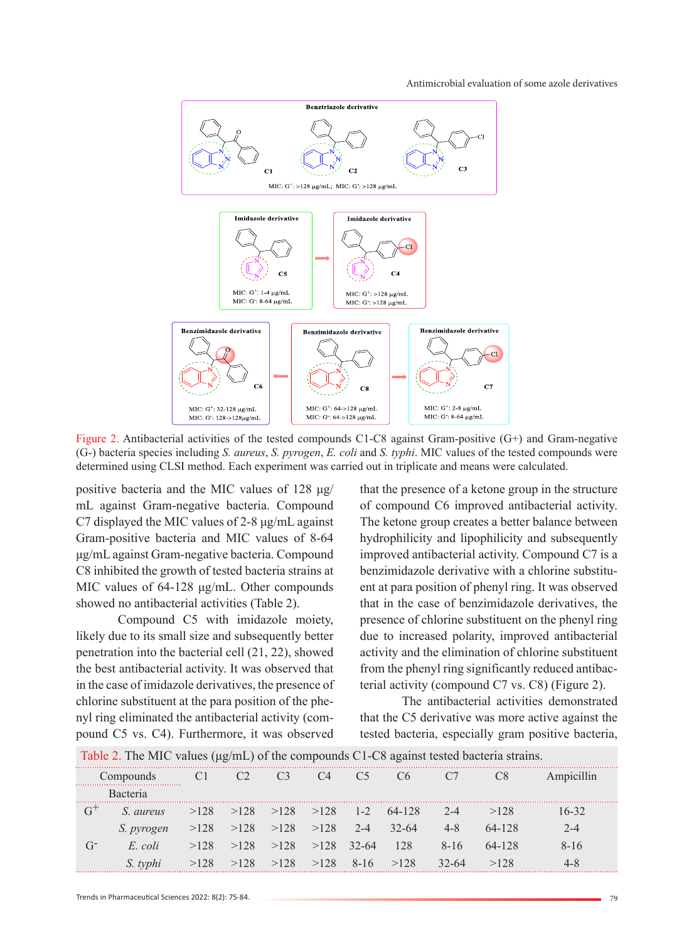

Figure 2. Antibacterial activities of the tested compounds C1-C8 against Gram-positive (G+) and Gram-negative (G-) bacteria species including *S. aureus*, *S. pyrogen*, *E. coli* and *S. typhi*. MIC values of the tested compounds were determined using CLSI method. Each experiment was carried out in triplicate and means were calculated.

positive bacteria and the MIC values of 128 μg/ mL against Gram-negative bacteria. Compound C7 displayed the MIC values of 2-8 μg/mL against Gram-positive bacteria and MIC values of 8-64 μg/mL against Gram-negative bacteria. Compound C8 inhibited the growth of tested bacteria strains at MIC values of 64-128 μg/mL. Other compounds showed no antibacterial activities (Table 2).

Compound C5 with imidazole moiety, likely due to its small size and subsequently better penetration into the bacterial cell (21, 22), showed the best antibacterial activity. It was observed that in the case of imidazole derivatives, the presence of chlorine substituent at the para position of the phenyl ring eliminated the antibacterial activity (compound C5 vs. C4). Furthermore, it was observed

that the presence of a ketone group in the structure of compound C6 improved antibacterial activity. The ketone group creates a better balance between hydrophilicity and lipophilicity and subsequently improved antibacterial activity. Compound C7 is a benzimidazole derivative with a chlorine substituent at para position of phenyl ring. It was observed that in the case of benzimidazole derivatives, the presence of chlorine substituent on the phenyl ring due to increased polarity, improved antibacterial activity and the elimination of chlorine substituent from the phenyl ring significantly reduced antibacterial activity (compound C7 vs. C8) (Figure 2).

The antibacterial activities demonstrated that the C5 derivative was more active against the tested bacteria, especially gram positive bacteria,

| Table 2. The MIC values (µg/mL) of the compounds C1-C8 against tested bacteria strains. |  |
|-----------------------------------------------------------------------------------------|--|
|                                                                                         |  |

| Compounds |                 | C1            | C <sub>2</sub> |                                        | C <sub>4</sub> | C <sub>5</sub> | C <sub>6</sub>                                | C7        | C8     | Ampicillin |
|-----------|-----------------|---------------|----------------|----------------------------------------|----------------|----------------|-----------------------------------------------|-----------|--------|------------|
| Bacteria  |                 |               |                |                                        |                |                |                                               |           |        |            |
|           | <i>S aureus</i> |               |                |                                        |                |                | $>128$ $>128$ $>128$ $>128$ $>128$ 1-2 64-128 | $2-4$     | >128   | $16-32$    |
|           | S. pyrogen      |               |                | $>128$ $>128$ $>128$ $>128$ $>128$ 2-4 |                |                | $32-64$                                       | $4 - 8$   | 64-128 | $2 - 4$    |
| $G^-$     | E coli          | >128          | >128           | >128                                   | $>128$ 32-64   |                | 128                                           | $8-16$    | 64-128 | $8-16$     |
|           | S. typhi        | $>128$ $>128$ |                | $>128$ $>128$ 8-16 $>128$              |                |                |                                               | $32 - 64$ | >128   | 4-8        |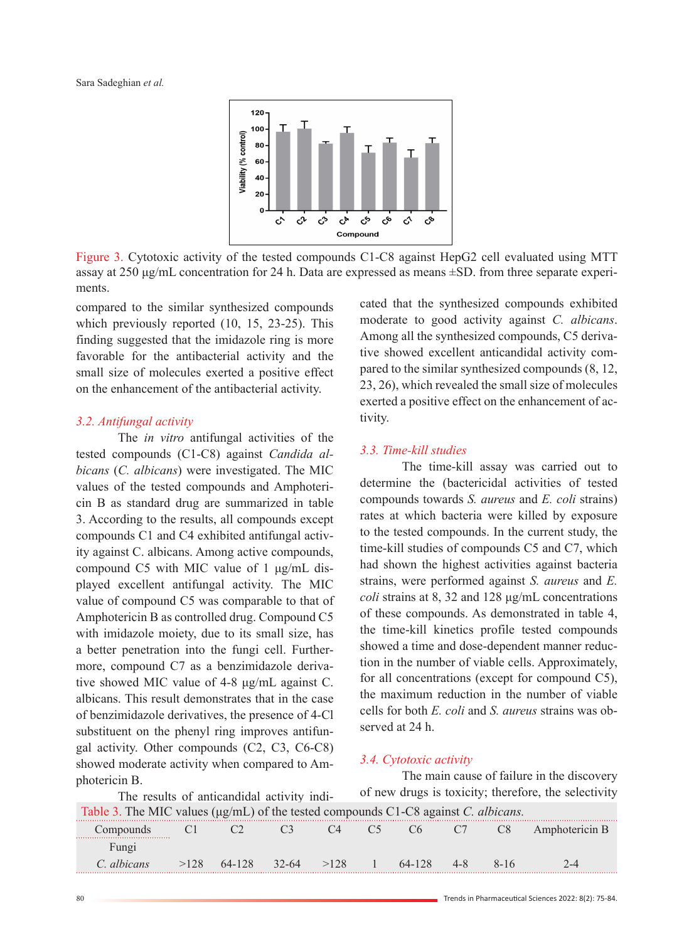

Figure 3. Cytotoxic activity of the tested compounds C1-C8 against HepG2 cell evaluated using MTT assay at 250 μg/mL concentration for 24 h. Data are expressed as means ±SD. from three separate experiments.

compared to the similar synthesized compounds which previously reported (10, 15, 23-25). This finding suggested that the imidazole ring is more favorable for the antibacterial activity and the small size of molecules exerted a positive effect on the enhancement of the antibacterial activity.

# *3.2. Antifungal activity*

The *in vitro* antifungal activities of the tested compounds (C1-C8) against *Candida albicans* (*C. albicans*) were investigated. The MIC values of the tested compounds and Amphotericin B as standard drug are summarized in table 3. According to the results, all compounds except compounds C1 and C4 exhibited antifungal activity against C. albicans. Among active compounds, compound C5 with MIC value of 1 μg/mL displayed excellent antifungal activity. The MIC value of compound C5 was comparable to that of Amphotericin B as controlled drug. Compound C5 with imidazole moiety, due to its small size, has a better penetration into the fungi cell. Furthermore, compound C7 as a benzimidazole derivative showed MIC value of 4-8 μg/mL against C. albicans. This result demonstrates that in the case of benzimidazole derivatives, the presence of 4-Cl substituent on the phenyl ring improves antifungal activity. Other compounds (C2, C3, C6-C8) showed moderate activity when compared to Amphotericin B.

The results of anticandidal activity indi-

cated that the synthesized compounds exhibited moderate to good activity against *C. albicans*. Among all the synthesized compounds, C5 derivative showed excellent anticandidal activity compared to the similar synthesized compounds (8, 12, 23, 26), which revealed the small size of molecules exerted a positive effect on the enhancement of activity.

# *3.3. Time-kill studies*

The time-kill assay was carried out to determine the (bactericidal activities of tested compounds towards *S. aureus* and *E. coli* strains) rates at which bacteria were killed by exposure to the tested compounds. In the current study, the time-kill studies of compounds C5 and C7, which had shown the highest activities against bacteria strains, were performed against *S. aureus* and *E. coli* strains at 8, 32 and 128 μg/mL concentrations of these compounds. As demonstrated in table 4, the time-kill kinetics profile tested compounds showed a time and dose-dependent manner reduction in the number of viable cells. Approximately, for all concentrations (except for compound C5), the maximum reduction in the number of viable cells for both *E. coli* and *S. aureus* strains was observed at 24 h.

# *3.4. Cytotoxic activity*

The main cause of failure in the discovery of new drugs is toxicity; therefore, the selectivity

| Table 3. The MIC values $(\mu g/mL)$ of the tested compounds C1-C8 against <i>C. albicans.</i> |      |        |         |      |              |        |                  |                |                |
|------------------------------------------------------------------------------------------------|------|--------|---------|------|--------------|--------|------------------|----------------|----------------|
| Compounds                                                                                      |      |        | - 03 -  | C4   | $\mathbf{C}$ | Ch.    | $\sim$ C' $\sim$ | C <sub>8</sub> | Amphotericin B |
| Fungi                                                                                          |      |        |         |      |              |        |                  |                |                |
| C albicans                                                                                     | >128 | 64-128 | $32-64$ | >128 |              | 64-128 | 4-8              | 8-16           | 7.4            |
|                                                                                                |      |        |         |      |              |        |                  |                |                |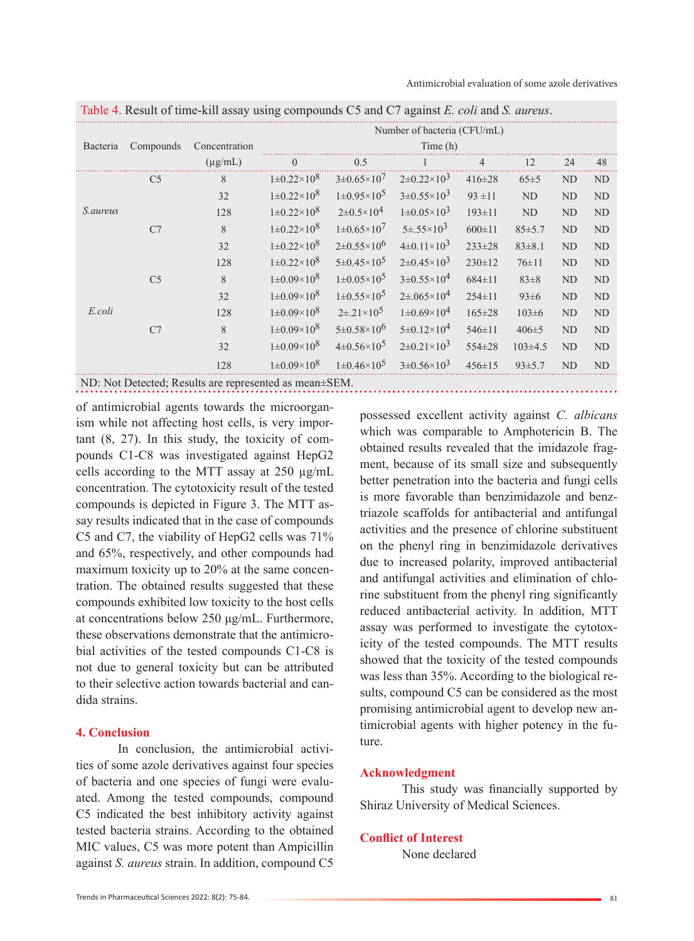| Antimicrobial evaluation of some azole derivatives |
|----------------------------------------------------|
|----------------------------------------------------|

Table 4. Result of time-kill assay using compounds C5 and C7 against *E. coli* and *S. aureus*.

|                 | Compounds      |               | Number of bacteria (CFU/mL) |                          |                          |              |              |                |                |  |  |  |  |
|-----------------|----------------|---------------|-----------------------------|--------------------------|--------------------------|--------------|--------------|----------------|----------------|--|--|--|--|
| Bacteria        |                | Concentration |                             |                          |                          |              |              |                |                |  |  |  |  |
|                 |                | $(\mu g/mL)$  | $\Omega$                    | 0.5                      |                          |              | 12           | 24             | 48             |  |  |  |  |
| <i>S.aureus</i> | C <sub>5</sub> | 8             | $1\pm 0.22\times 10^8$      | $3 \pm 0.65 \times 10^7$ | $2\pm 0.22\times 10^3$   | $416 \pm 28$ | 65±5         | ND             | N <sub>D</sub> |  |  |  |  |
|                 |                | 32            | $1 \pm 0.22 \times 10^8$    | $1 \pm 0.95 \times 10^5$ | $3 \pm 0.55 \times 10^3$ | $93 \pm 11$  | <b>ND</b>    | ND             | N <sub>D</sub> |  |  |  |  |
|                 |                | 128           | $1\pm 0.22\times 10^8$      | $2 \pm 0.5 \times 10^4$  | $1 \pm 0.05 \times 10^3$ | $193 \pm 11$ | <b>ND</b>    | ND             | <b>ND</b>      |  |  |  |  |
|                 | C7             | 8             | $1\pm 0.22\times 10^8$      | $1 \pm 0.65 \times 10^7$ | $5\pm .55\times 10^3$    | $600 \pm 11$ | $85 \pm 5.7$ | <b>ND</b>      | N <sub>D</sub> |  |  |  |  |
|                 |                | 32            | $1\pm 0.22\times 10^8$      | $2 \pm 0.55 \times 10^6$ | $4\pm 0.11 \times 10^3$  | $233 \pm 28$ | $83 \pm 8.1$ | <b>ND</b>      | <b>ND</b>      |  |  |  |  |
| E.coli          |                | 128           | $1\pm 0.22\times 10^8$      | $5 \pm 0.45 \times 10^5$ | $2 \pm 0.45 \times 10^3$ | $230 \pm 12$ | $76 \pm 11$  | <b>ND</b>      | N <sub>D</sub> |  |  |  |  |
|                 | C <sub>5</sub> | 8             | $1\pm0.09\times10^8$        | $1 \pm 0.05 \times 10^5$ | $3 \pm 0.55 \times 10^4$ | $684 \pm 11$ | $83 \pm 8$   | <b>ND</b>      | <b>ND</b>      |  |  |  |  |
|                 |                | 32            | $1\pm0.09\times10^8$        | $1 \pm 0.55 \times 10^5$ | $2\pm.065\times10^{4}$   | $254 \pm 11$ | $93\pm6$     | N <sub>D</sub> | <b>ND</b>      |  |  |  |  |
|                 |                | 128           | $1 \pm 0.09 \times 10^8$    | $2\pm .21\times 10^5$    | $1 \pm 0.69 \times 10^4$ | $165 \pm 28$ | $103 \pm 6$  | <b>ND</b>      | N <sub>D</sub> |  |  |  |  |
|                 | C7             | 8             | $1\pm0.09\times10^8$        | $5 \pm 0.58 \times 10^6$ | $5 \pm 0.12 \times 10^4$ | $546 \pm 11$ | $406 \pm 5$  | <b>ND</b>      | N <sub>D</sub> |  |  |  |  |
|                 |                | 32            | $1\pm0.09\times10^{8}$      | $4\pm 0.56 \times 10^5$  | $2 \pm 0.21 \times 10^3$ | 554±28       | $103\pm4.5$  | <b>ND</b>      | <b>ND</b>      |  |  |  |  |
|                 |                | 128           | $1 \pm 0.09 \times 10^8$    | $1\pm 0.46 \times 10^5$  | $3\pm 0.56 \times 10^3$  | $456 \pm 15$ | $93 \pm 5.7$ | <b>ND</b>      | ND             |  |  |  |  |
|                 |                |               |                             |                          |                          |              |              |                |                |  |  |  |  |

ND: Not Detected; Results are represented as mean±SEM.

of antimicrobial agents towards the microorganism while not affecting host cells, is very important (8, 27). In this study, the toxicity of compounds C1-C8 was investigated against HepG2 cells according to the MTT assay at 250 µg/mL concentration. The cytotoxicity result of the tested compounds is depicted in Figure 3. The MTT assay results indicated that in the case of compounds C5 and C7, the viability of HepG2 cells was 71% and 65%, respectively, and other compounds had maximum toxicity up to 20% at the same concentration. The obtained results suggested that these compounds exhibited low toxicity to the host cells at concentrations below 250 μg/mL. Furthermore, these observations demonstrate that the antimicrobial activities of the tested compounds C1-C8 is not due to general toxicity but can be attributed to their selective action towards bacterial and candida strains.

# **4. Conclusion**

In conclusion, the antimicrobial activities of some azole derivatives against four species of bacteria and one species of fungi were evaluated. Among the tested compounds, compound C5 indicated the best inhibitory activity against tested bacteria strains. According to the obtained MIC values, C5 was more potent than Ampicillin against *S. aureus* strain. In addition, compound C5

possessed excellent activity against *C. albicans*  which was comparable to Amphotericin B. The obtained results revealed that the imidazole fragment, because of its small size and subsequently better penetration into the bacteria and fungi cells is more favorable than benzimidazole and benztriazole scaffolds for antibacterial and antifungal activities and the presence of chlorine substituent on the phenyl ring in benzimidazole derivatives due to increased polarity, improved antibacterial and antifungal activities and elimination of chlorine substituent from the phenyl ring significantly reduced antibacterial activity. In addition, MTT assay was performed to investigate the cytotoxicity of the tested compounds. The MTT results showed that the toxicity of the tested compounds was less than 35%. According to the biological results, compound C5 can be considered as the most promising antimicrobial agent to develop new antimicrobial agents with higher potency in the future.

#### **Acknowledgment**

This study was financially supported by Shiraz University of Medical Sciences.

#### **Conflict of Interest**

None declared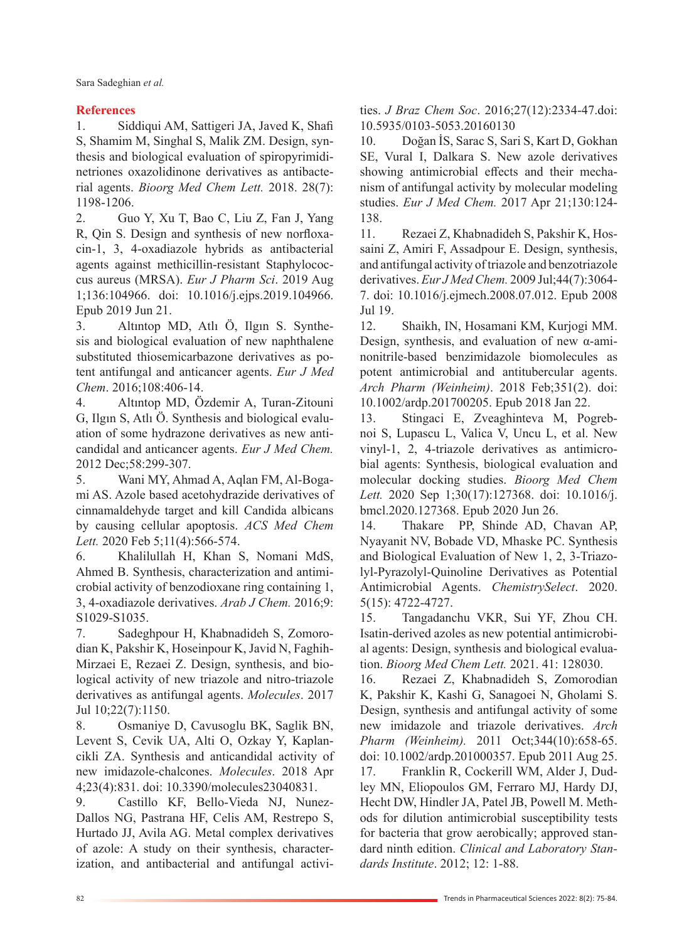Sara Sadeghian *et al.*

# **References**

1. Siddiqui AM, Sattigeri JA, Javed K, Shafi S, Shamim M, Singhal S, Malik ZM. Design, synthesis and biological evaluation of spiropyrimidinetriones oxazolidinone derivatives as antibacterial agents. *Bioorg Med Chem Lett.* 2018. 28(7): 1198-1206.

2. Guo Y, Xu T, Bao C, Liu Z, Fan J, Yang R, Qin S. Design and synthesis of new norfloxacin-1, 3, 4-oxadiazole hybrids as antibacterial agents against methicillin-resistant Staphylococcus aureus (MRSA). *Eur J Pharm Sci*. 2019 Aug 1;136:104966. doi: 10.1016/j.ejps.2019.104966. Epub 2019 Jun 21.

3. Altıntop MD, Atlı Ö, Ilgın S. Synthesis and biological evaluation of new naphthalene substituted thiosemicarbazone derivatives as potent antifungal and anticancer agents. *Eur J Med Chem*. 2016;108:406-14.

4. Altıntop MD, Özdemir A, Turan-Zitouni G, Ilgın S, Atlı Ö. Synthesis and biological evaluation of some hydrazone derivatives as new anticandidal and anticancer agents. *Eur J Med Chem.*  2012 Dec;58:299-307.

5. Wani MY, Ahmad A, Aqlan FM, Al-Bogami AS. Azole based acetohydrazide derivatives of cinnamaldehyde target and kill Candida albicans by causing cellular apoptosis. *ACS Med Chem Lett.* 2020 Feb 5;11(4):566-574.

6. Khalilullah H, Khan S, Nomani MdS, Ahmed B. Synthesis, characterization and antimicrobial activity of benzodioxane ring containing 1, 3, 4-oxadiazole derivatives. *Arab J Chem.* 2016;9: S1029-S1035.

7. Sadeghpour H, Khabnadideh S, Zomorodian K, Pakshir K, Hoseinpour K, Javid N, Faghih-Mirzaei E, Rezaei Z. Design, synthesis, and biological activity of new triazole and nitro-triazole derivatives as antifungal agents. *Molecules*. 2017 Jul 10;22(7):1150.

8. Osmaniye D, Cavusoglu BK, Saglik BN, Levent S, Cevik UA, Alti O, Ozkay Y, Kaplancikli ZA. Synthesis and anticandidal activity of new imidazole-chalcones. *Molecules*. 2018 Apr 4;23(4):831. doi: 10.3390/molecules23040831.

9. Castillo KF, Bello-Vieda NJ, Nunez-Dallos NG, Pastrana HF, Celis AM, Restrepo S, Hurtado JJ, Avila AG. Metal complex derivatives of azole: A study on their synthesis, characterization, and antibacterial and antifungal activities. *J Braz Chem Soc*. 2016;27(12):2334-47.doi: 10.5935/0103-5053.20160130

10. Doğan İS, Sarac S, Sari S, Kart D, Gokhan SE, Vural I, Dalkara S. New azole derivatives showing antimicrobial effects and their mechanism of antifungal activity by molecular modeling studies. *Eur J Med Chem.* 2017 Apr 21;130:124- 138.

11. Rezaei Z, Khabnadideh S, Pakshir K, Hossaini Z, Amiri F, Assadpour E. Design, synthesis, and antifungal activity of triazole and benzotriazole derivatives. *Eur J Med Chem.* 2009 Jul;44(7):3064- 7. doi: 10.1016/j.ejmech.2008.07.012. Epub 2008 Jul 19.

12. Shaikh, IN, Hosamani KM, Kurjogi MM. Design, synthesis, and evaluation of new α‐aminonitrile‐based benzimidazole biomolecules as potent antimicrobial and antitubercular agents. *Arch Pharm (Weinheim)*. 2018 Feb;351(2). doi: 10.1002/ardp.201700205. Epub 2018 Jan 22.

13. Stingaci E, Zveaghinteva M, Pogrebnoi S, Lupascu L, Valica V, Uncu L, et al. New vinyl-1, 2, 4-triazole derivatives as antimicrobial agents: Synthesis, biological evaluation and molecular docking studies. *Bioorg Med Chem Lett.* 2020 Sep 1;30(17):127368. doi: 10.1016/j. bmcl.2020.127368. Epub 2020 Jun 26.

14. Thakare PP, Shinde AD, Chavan AP, Nyayanit NV, Bobade VD, Mhaske PC. Synthesis and Biological Evaluation of New 1, 2, 3‐Triazolyl‐Pyrazolyl‐Quinoline Derivatives as Potential Antimicrobial Agents. *ChemistrySelect*. 2020. 5(15): 4722-4727.

15. Tangadanchu VKR, Sui YF, Zhou CH. Isatin-derived azoles as new potential antimicrobial agents: Design, synthesis and biological evaluation. *Bioorg Med Chem Lett.* 2021. 41: 128030.

16. Rezaei Z, Khabnadideh S, Zomorodian K, Pakshir K, Kashi G, Sanagoei N, Gholami S. Design, synthesis and antifungal activity of some new imidazole and triazole derivatives. *Arch Pharm (Weinheim).* 2011 Oct;344(10):658-65. doi: 10.1002/ardp.201000357. Epub 2011 Aug 25.

17. Franklin R, Cockerill WM, Alder J, Dudley MN, Eliopoulos GM, Ferraro MJ, Hardy DJ, Hecht DW, Hindler JA, Patel JB, Powell M. Methods for dilution antimicrobial susceptibility tests for bacteria that grow aerobically; approved standard ninth edition. *Clinical and Laboratory Standards Institute*. 2012; 12: 1-88.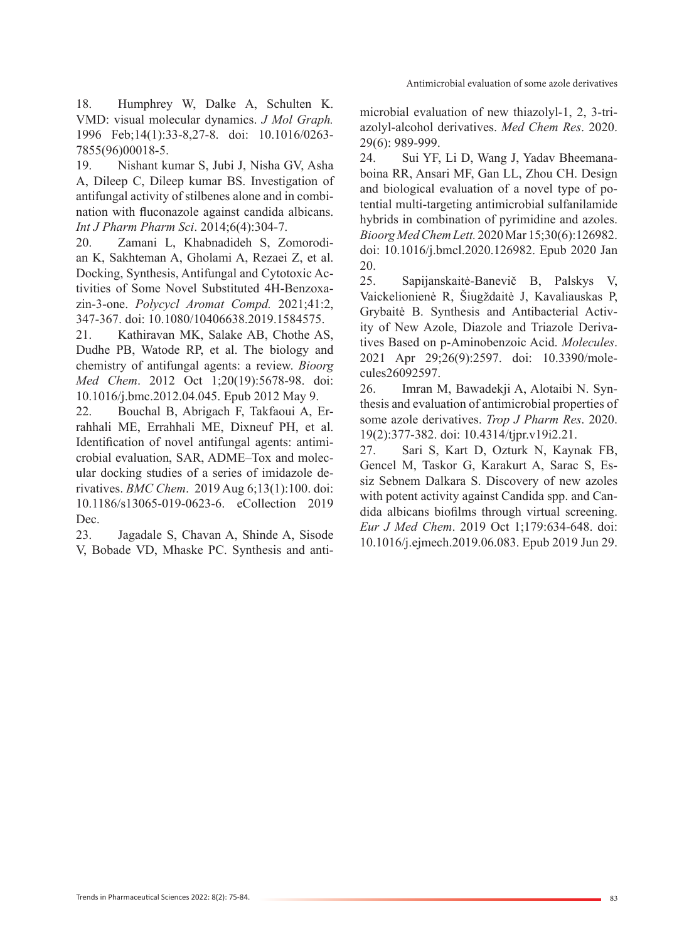18. Humphrey W, Dalke A, Schulten K. VMD: visual molecular dynamics. *J Mol Graph.*  1996 Feb;14(1):33-8,27-8. doi: 10.1016/0263- 7855(96)00018-5.

19. Nishant kumar S, Jubi J, Nisha GV, Asha A, Dileep C, Dileep kumar BS. Investigation of antifungal activity of stilbenes alone and in combination with fluconazole against candida albicans. *Int J Pharm Pharm Sci*. 2014;6(4):304-7.

20. Zamani L, Khabnadideh S, Zomorodian K, Sakhteman A, Gholami A, Rezaei Z, et al. Docking, Synthesis, Antifungal and Cytotoxic Activities of Some Novel Substituted 4H-Benzoxazin-3-one. *Polycycl Aromat Compd.* 2021;41:2, 347-367. doi: 10.1080/10406638.2019.1584575.

21. Kathiravan MK, Salake AB, Chothe AS, Dudhe PB, Watode RP, et al. The biology and chemistry of antifungal agents: a review. *Bioorg Med Chem*. 2012 Oct 1;20(19):5678-98. doi: 10.1016/j.bmc.2012.04.045. Epub 2012 May 9.

22. Bouchal B, Abrigach F, Takfaoui A, Errahhali ME, Errahhali ME, Dixneuf PH, et al. Identification of novel antifungal agents: antimicrobial evaluation, SAR, ADME–Tox and molecular docking studies of a series of imidazole derivatives. *BMC Chem*. 2019 Aug 6;13(1):100. doi: 10.1186/s13065-019-0623-6. eCollection 2019 Dec.

23. Jagadale S, Chavan A, Shinde A, Sisode V, Bobade VD, Mhaske PC. Synthesis and anti-

microbial evaluation of new thiazolyl-1, 2, 3-triazolyl-alcohol derivatives. *Med Chem Res*. 2020. 29(6): 989-999.

24. Sui YF, Li D, Wang J, Yadav Bheemanaboina RR, Ansari MF, Gan LL, Zhou CH. Design and biological evaluation of a novel type of potential multi-targeting antimicrobial sulfanilamide hybrids in combination of pyrimidine and azoles. *Bioorg Med Chem Lett.* 2020 Mar 15;30(6):126982. doi: 10.1016/j.bmcl.2020.126982. Epub 2020 Jan 20.

25. Sapijanskaitė-Banevič B, Palskys V, Vaickelionienė R, Šiugždaitė J, Kavaliauskas P, Grybaitė B. Synthesis and Antibacterial Activity of New Azole, Diazole and Triazole Derivatives Based on p-Aminobenzoic Acid. *Molecules*. 2021 Apr 29;26(9):2597. doi: 10.3390/molecules26092597.

26. Imran M, Bawadekji A, Alotaibi N. Synthesis and evaluation of antimicrobial properties of some azole derivatives. *Trop J Pharm Res*. 2020. 19(2):377-382. doi: 10.4314/tjpr.v19i2.21.

27. Sari S, Kart D, Ozturk N, Kaynak FB, Gencel M, Taskor G, Karakurt A, Sarac S, Essiz Sebnem Dalkara S. Discovery of new azoles with potent activity against Candida spp. and Candida albicans biofilms through virtual screening. *Eur J Med Chem*. 2019 Oct 1;179:634-648. doi: 10.1016/j.ejmech.2019.06.083. Epub 2019 Jun 29.